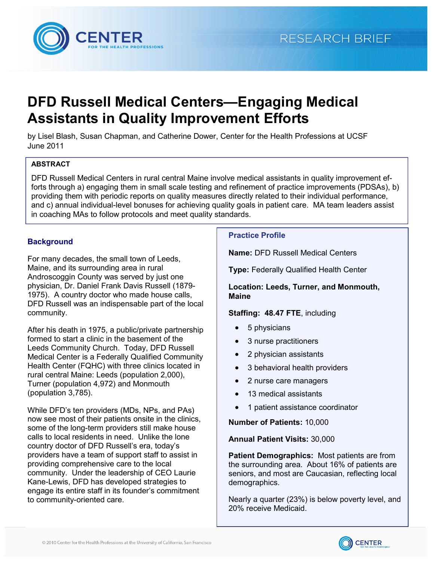

# **DFD Russell Medical Centers-Engaging Medical Assistants in Quality Improvement Efforts**

by Lisel Blash, Susan Chapman, and Catherine Dower, Center for the Health Professions at UCSF June 2011

# **ABSTRACT**

DFD Russell Medical Centers in rural central Maine involve medical assistants in quality improvement efforts through a) engaging them in small scale testing and refinement of practice improvements (PDSAs), b) providing them with periodic reports on quality measures directly related to their individual performance. and c) annual individual-level bonuses for achieving quality goals in patient care. MA team leaders assist in coaching MAs to follow protocols and meet quality standards.

# **Background**

For many decades, the small town of Leeds, Maine, and its surrounding area in rural Androscoggin County was served by just one physician, Dr. Daniel Frank Davis Russell (1879-1975). A country doctor who made house calls, DFD Russell was an indispensable part of the local community.

After his death in 1975, a public/private partnership formed to start a clinic in the basement of the Leeds Community Church. Today, DFD Russell Medical Center is a Federally Qualified Community Health Center (FQHC) with three clinics located in rural central Maine: Leeds (population 2,000), Turner (population 4,972) and Monmouth (population 3,785).

While DFD's ten providers (MDs, NPs, and PAs) now see most of their patients onsite in the clinics, some of the long-term providers still make house calls to local residents in need. Unlike the lone country doctor of DFD Russell's era, today's providers have a team of support staff to assist in providing comprehensive care to the local community. Under the leadership of CEO Laurie Kane-Lewis, DFD has developed strategies to engage its entire staff in its founder's commitment to community-oriented care.

## **Practice Profile**

Name: DED Russell Medical Centers

**Type: Federally Qualified Health Center** 

Location: Leeds, Turner, and Monmouth, **Maine** 

## Staffing: 48.47 FTE, including

- 5 physicians
- 3 nurse practitioners
- 2 physician assistants
- 3 behavioral health providers
- 2 nurse care managers
- 13 medical assistants
- 1 patient assistance coordinator

Number of Patients: 10,000

**Annual Patient Visits: 30,000** 

Patient Demographics: Most patients are from the surrounding area. About 16% of patients are seniors, and most are Caucasian, reflecting local demographics.

Nearly a quarter (23%) is below poverty level, and 20% receive Medicaid.

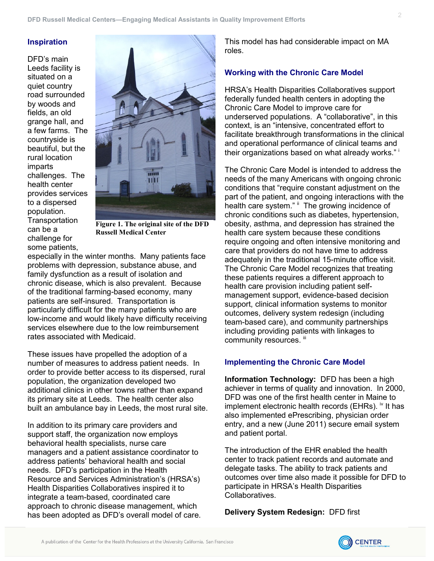# **Inspiration**

DFD's main Leeds facility is situated on a quiet country road surrounded by woods and fields, an old grange hall, and a few farms. The countryside is beautiful, but the rural location imparts challenges. The health center provides services to a dispersed population. Transportation can be a challenge for some patients.



Figure 1. The original site of the DFD **Russell Medical Center** 

especially in the winter months. Many patients face problems with depression, substance abuse, and family dysfunction as a result of isolation and chronic disease, which is also prevalent. Because of the traditional farming-based economy, many patients are self-insured. Transportation is particularly difficult for the many patients who are low-income and would likely have difficulty receiving services elsewhere due to the low reimbursement rates associated with Medicaid.

These issues have propelled the adoption of a number of measures to address patient needs. In order to provide better access to its dispersed, rural population, the organization developed two additional clinics in other towns rather than expand its primary site at Leeds. The health center also built an ambulance bay in Leeds, the most rural site.

In addition to its primary care providers and support staff, the organization now employs behavioral health specialists, nurse care managers and a patient assistance coordinator to address patients' behavioral health and social needs. DFD's participation in the Health Resource and Services Administration's (HRSA's) Health Disparities Collaboratives inspired it to integrate a team-based, coordinated care approach to chronic disease management, which has been adopted as DFD's overall model of care. This model has had considerable impact on MA roles.

# **Working with the Chronic Care Model**

HRSA's Health Disparities Collaboratives support federally funded health centers in adopting the Chronic Care Model to improve care for underserved populations. A "collaborative", in this context, is an "intensive, concentrated effort to facilitate breakthrough transformations in the clinical and operational performance of clinical teams and their organizations based on what already works."

The Chronic Care Model is intended to address the needs of the many Americans with ongoing chronic conditions that "require constant adjustment on the part of the patient, and ongoing interactions with the health care system." " The growing incidence of chronic conditions such as diabetes, hypertension, obesity, asthma, and depression has strained the health care system because these conditions require ongoing and often intensive monitoring and care that providers do not have time to address adequately in the traditional 15-minute office visit. The Chronic Care Model recognizes that treating these patients requires a different approach to health care provision including patient selfmanagement support, evidence-based decision support, clinical information systems to monitor outcomes, delivery system redesign (including team-based care), and community partnerships including providing patients with linkages to community resources. "

## **Implementing the Chronic Care Model**

Information Technology: DFD has been a high achiever in terms of quality and innovation. In 2000, DFD was one of the first health center in Maine to implement electronic health records (EHRs). <sup>iv</sup> It has also implemented ePrescribing, physician order entry, and a new (June 2011) secure email system and patient portal.

The introduction of the EHR enabled the health center to track patient records and automate and delegate tasks. The ability to track patients and outcomes over time also made it possible for DFD to participate in HRSA's Health Disparities Collaboratives.

Delivery System Redesign: DFD first

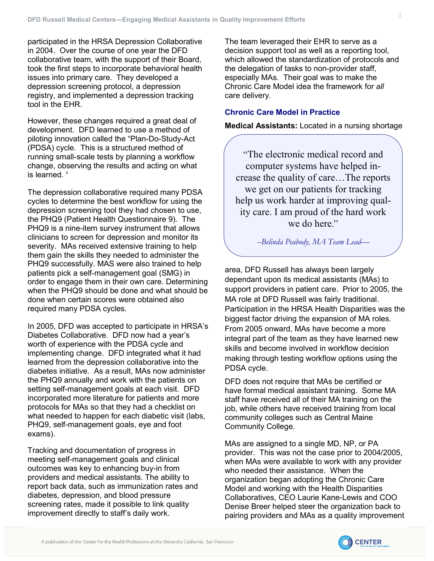participated in the HRSA Depression Collaborative in 2004. Over the course of one year the DFD collaborative team, with the support of their Board. took the first steps to incorporate behavioral health issues into primary care. They developed a depression screening protocol, a depression registry, and implemented a depression tracking tool in the EHR.

However, these changes required a great deal of development. DFD learned to use a method of piloting innovation called the "Plan-Do-Study-Act" (PDSA) cycle. This is a structured method of running small-scale tests by planning a workflow change, observing the results and acting on what is learned. v

The depression collaborative required many PDSA cycles to determine the best workflow for using the depression screening tool they had chosen to use, the PHQ9 (Patient Health Questionnaire 9). The PHQ9 is a nine-item survey instrument that allows clinicians to screen for depression and monitor its severity. MAs received extensive training to help them gain the skills they needed to administer the PHQ9 successfully. MAS were also trained to help patients pick a self-management goal (SMG) in order to engage them in their own care. Determining when the PHQ9 should be done and what should be done when certain scores were obtained also required many PDSA cycles.

In 2005, DFD was accepted to participate in HRSA's Diabetes Collaborative. DFD now had a year's worth of experience with the PDSA cycle and implementing change. DFD integrated what it had learned from the depression collaborative into the diabetes initiative. As a result, MAs now administer the PHQ9 annually and work with the patients on setting self-management goals at each visit. DFD incorporated more literature for patients and more protocols for MAs so that they had a checklist on what needed to happen for each diabetic visit (labs, PHQ9, self-management goals, eye and foot exams).

Tracking and documentation of progress in meeting self-management goals and clinical outcomes was key to enhancing buy-in from providers and medical assistants. The ability to report back data, such as immunization rates and diabetes, depression, and blood pressure screening rates, made it possible to link quality improvement directly to staff's daily work.

The team leveraged their EHR to serve as a decision support tool as well as a reporting tool, which allowed the standardization of protocols and the delegation of tasks to non-provider staff, especially MAs. Their goal was to make the Chronic Care Model idea the framework for all care delivery.

## **Chronic Care Model in Practice**

**Medical Assistants:** Located in a nursing shortage

"The electronic medical record and computer systems have helped increase the quality of care...The reports we get on our patients for tracking help us work harder at improving quality care. I am proud of the hard work we do here."

--Belinda Peabody, MA Team Lead-

area, DFD Russell has always been largely dependant upon its medical assistants (MAs) to support providers in patient care. Prior to 2005, the MA role at DFD Russell was fairly traditional. Participation in the HRSA Health Disparities was the biggest factor driving the expansion of MA roles. From 2005 onward. MAs have become a more integral part of the team as they have learned new skills and become involved in workflow decision making through testing workflow options using the PDSA cycle.

DFD does not require that MAs be certified or have formal medical assistant training. Some MA staff have received all of their MA training on the job, while others have received training from local community colleges such as Central Maine Community College.

MAs are assigned to a single MD, NP, or PA provider. This was not the case prior to 2004/2005. when MAs were available to work with any provider who needed their assistance. When the organization began adopting the Chronic Care Model and working with the Health Disparities Collaboratives, CEO Laurie Kane-Lewis and COO Denise Breer helped steer the organization back to pairing providers and MAs as a quality improvement

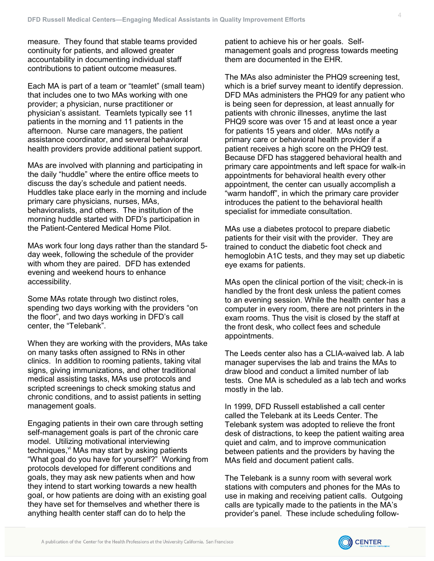measure. They found that stable teams provided continuity for patients, and allowed greater accountability in documenting individual staff contributions to patient outcome measures.

Each MA is part of a team or "teamlet" (small team) that includes one to two MAs working with one provider; a physician, nurse practitioner or physician's assistant. Teamlets typically see 11 patients in the morning and 11 patients in the afternoon. Nurse care managers, the patient assistance coordinator, and several behavioral health providers provide additional patient support.

MAs are involved with planning and participating in the daily "huddle" where the entire office meets to discuss the day's schedule and patient needs. Huddles take place early in the morning and include primary care physicians, nurses, MAs, behavioralists, and others. The institution of the morning huddle started with DFD's participation in the Patient-Centered Medical Home Pilot.

MAs work four long days rather than the standard 5day week, following the schedule of the provider with whom they are paired. DFD has extended evening and weekend hours to enhance accessibility.

Some MAs rotate through two distinct roles, spending two days working with the providers "on the floor", and two days working in DFD's call center, the "Telebank".

When they are working with the providers, MAs take on many tasks often assigned to RNs in other clinics. In addition to rooming patients, taking vital signs, giving immunizations, and other traditional medical assisting tasks, MAs use protocols and scripted screenings to check smoking status and chronic conditions, and to assist patients in setting management goals.

Engaging patients in their own care through setting self-management goals is part of the chronic care model. Utilizing motivational interviewing techniques," MAs may start by asking patients "What goal do you have for yourself?" Working from protocols developed for different conditions and goals, they may ask new patients when and how they intend to start working towards a new health goal, or how patients are doing with an existing goal they have set for themselves and whether there is anything health center staff can do to help the

patient to achieve his or her goals. Selfmanagement goals and progress towards meeting them are documented in the EHR.

The MAs also administer the PHQ9 screening test, which is a brief survey meant to identify depression. DFD MAs administers the PHQ9 for any patient who is being seen for depression, at least annually for patients with chronic illnesses, anytime the last PHQ9 score was over 15 and at least once a year for patients 15 years and older. MAs notify a primary care or behavioral health provider if a patient receives a high score on the PHQ9 test. Because DFD has staggered behavioral health and primary care appointments and left space for walk-in appointments for behavioral health every other appointment, the center can usually accomplish a "warm handoff", in which the primary care provider introduces the patient to the behavioral health specialist for immediate consultation.

MAs use a diabetes protocol to prepare diabetic patients for their visit with the provider. They are trained to conduct the diabetic foot check and hemoglobin A1C tests, and they may set up diabetic eye exams for patients.

MAs open the clinical portion of the visit; check-in is handled by the front desk unless the patient comes to an evening session. While the health center has a computer in every room, there are not printers in the exam rooms. Thus the visit is closed by the staff at the front desk, who collect fees and schedule appointments.

The Leeds center also has a CLIA-waived lab. A lab manager supervises the lab and trains the MAs to draw blood and conduct a limited number of lab tests. One MA is scheduled as a lab tech and works mostly in the lab.

In 1999, DFD Russell established a call center called the Telebank at its Leeds Center. The Telebank system was adopted to relieve the front desk of distractions, to keep the patient waiting area quiet and calm, and to improve communication between patients and the providers by having the MAs field and document patient calls.

The Telebank is a sunny room with several work stations with computers and phones for the MAs to use in making and receiving patient calls. Outgoing calls are typically made to the patients in the MA's provider's panel. These include scheduling follow-

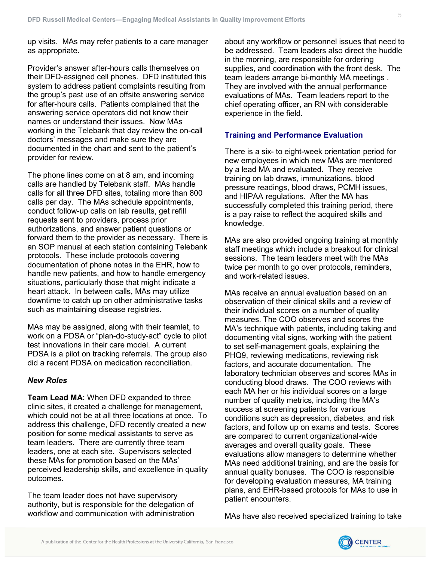up visits. MAs may refer patients to a care manager as appropriate.

Provider's answer after-hours calls themselves on their DFD-assigned cell phones. DFD instituted this system to address patient complaints resulting from the group's past use of an offsite answering service for after-hours calls. Patients complained that the answering service operators did not know their names or understand their issues. Now MAs working in the Telebank that day review the on-call doctors' messages and make sure they are documented in the chart and sent to the patient's provider for review.

The phone lines come on at 8 am, and incoming calls are handled by Telebank staff. MAs handle calls for all three DFD sites, totaling more than 800 calls per day. The MAs schedule appointments, conduct follow-up calls on lab results, get refill requests sent to providers, process prior authorizations, and answer patient questions or forward them to the provider as necessary. There is an SOP manual at each station containing Telebank protocols. These include protocols covering documentation of phone notes in the EHR, how to handle new patients, and how to handle emergency situations, particularly those that might indicate a heart attack. In between calls, MAs may utilize downtime to catch up on other administrative tasks such as maintaining disease registries.

MAs may be assigned, along with their teamlet, to work on a PDSA or "plan-do-study-act" cycle to pilot test innovations in their care model. A current PDSA is a pilot on tracking referrals. The group also did a recent PDSA on medication reconciliation.

## **New Roles**

Team Lead MA: When DFD expanded to three clinic sites, it created a challenge for management, which could not be at all three locations at once. To address this challenge, DFD recently created a new position for some medical assistants to serve as team leaders. There are currently three team leaders, one at each site. Supervisors selected these MAs for promotion based on the MAs' perceived leadership skills, and excellence in quality outcomes.

The team leader does not have supervisory authority, but is responsible for the delegation of workflow and communication with administration

about any workflow or personnel issues that need to be addressed. Team leaders also direct the huddle in the morning, are responsible for ordering supplies, and coordination with the front desk. The team leaders arrange bi-monthly MA meetings. They are involved with the annual performance evaluations of MAs. Team leaders report to the chief operating officer, an RN with considerable experience in the field.

## **Training and Performance Evaluation**

There is a six- to eight-week orientation period for new employees in which new MAs are mentored by a lead MA and evaluated. They receive training on lab draws, immunizations, blood pressure readings, blood draws, PCMH issues, and HIPAA regulations. After the MA has successfully completed this training period, there is a pay raise to reflect the acquired skills and knowledge.

MAs are also provided ongoing training at monthly staff meetings which include a breakout for clinical sessions. The team leaders meet with the MAs twice per month to go over protocols, reminders, and work-related issues.

MAs receive an annual evaluation based on an observation of their clinical skills and a review of their individual scores on a number of quality measures. The COO observes and scores the MA's technique with patients, including taking and documenting vital signs, working with the patient to set self-management goals, explaining the PHQ9, reviewing medications, reviewing risk factors, and accurate documentation. The laboratory technician observes and scores MAs in conducting blood draws. The COO reviews with each MA her or his individual scores on a large number of quality metrics, including the MA's success at screening patients for various conditions such as depression, diabetes, and risk factors, and follow up on exams and tests. Scores are compared to current organizational-wide averages and overall quality goals. These evaluations allow managers to determine whether MAs need additional training, and are the basis for annual quality bonuses. The COO is responsible for developing evaluation measures, MA training plans, and EHR-based protocols for MAs to use in patient encounters.

MAs have also received specialized training to take

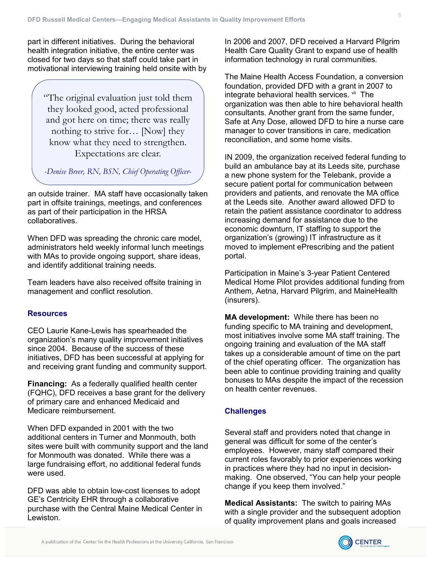part in different initiatives. During the behavioral health integration initiative, the entire center was closed for two days so that staff could take part in motivational interviewing training held onsite with by

"The original evaluation just told them they looked good, acted professional and got here on time; there was really nothing to strive for... [Now] they know what they need to strengthen. Expectations are clear.

-Denise Breer, RN, BSN, Chief Operating Officer-

an outside trainer. MA staff have occasionally taken part in offsite trainings, meetings, and conferences as part of their participation in the HRSA collaboratives.

When DFD was spreading the chronic care model, administrators held weekly informal lunch meetings with MAs to provide ongoing support, share ideas, and identify additional training needs.

Team leaders have also received offsite training in management and conflict resolution.

#### **Resources**

CEO Laurie Kane-Lewis has spearheaded the organization's many quality improvement initiatives since 2004. Because of the success of these initiatives, DFD has been successful at applying for and receiving grant funding and community support.

**Financing:** As a federally qualified health center (FQHC), DFD receives a base grant for the delivery of primary care and enhanced Medicaid and Medicare reimbursement.

When DFD expanded in 2001 with the two additional centers in Turner and Monmouth, both sites were built with community support and the land for Monmouth was donated. While there was a large fundraising effort, no additional federal funds were used.

DFD was able to obtain low-cost licenses to adopt GE's Centricity EHR through a collaborative purchase with the Central Maine Medical Center in Lewiston.

In 2006 and 2007, DFD received a Harvard Pilgrim Health Care Quality Grant to expand use of health information technology in rural communities.

The Maine Health Access Foundation, a conversion foundation, provided DFD with a grant in 2007 to integrate behavioral health services. vii The organization was then able to hire behavioral health consultants. Another grant from the same funder, Safe at Any Dose, allowed DFD to hire a nurse care manager to cover transitions in care, medication reconciliation, and some home visits.

IN 2009, the organization received federal funding to build an ambulance bay at its Leeds site, purchase a new phone system for the Telebank, provide a secure patient portal for communication between providers and patients, and renovate the MA office at the Leeds site. Another award allowed DFD to retain the patient assistance coordinator to address increasing demand for assistance due to the economic downturn, IT staffing to support the organization's (growing) IT infrastructure as it moved to implement ePrescribing and the patient portal.

Participation in Maine's 3-year Patient Centered Medical Home Pilot provides additional funding from Anthem, Aetna, Harvard Pilgrim, and MaineHealth (insurers).

**MA development:** While there has been no funding specific to MA training and development, most initiatives involve some MA staff training. The ongoing training and evaluation of the MA staff takes up a considerable amount of time on the part of the chief operating officer. The organization has been able to continue providing training and quality bonuses to MAs despite the impact of the recession on health center revenues.

## **Challenges**

Several staff and providers noted that change in general was difficult for some of the center's employees. However, many staff compared their current roles favorably to prior experiences working in practices where they had no input in decisionmaking. One observed, "You can help your people change if you keep them involved."

**Medical Assistants:** The switch to pairing MAs with a single provider and the subsequent adoption of quality improvement plans and goals increased

6

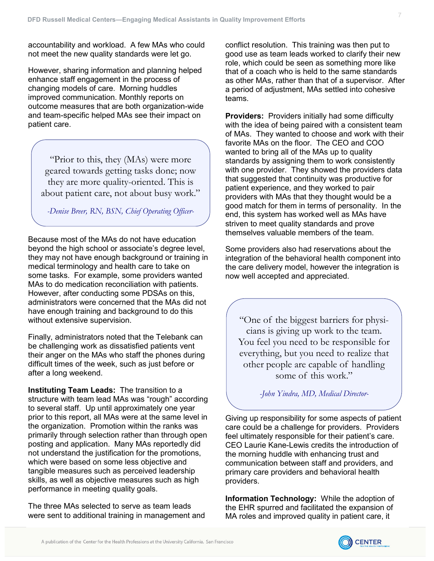accountability and workload. A few MAs who could not meet the new quality standards were let go.

However, sharing information and planning helped enhance staff engagement in the process of changing models of care. Morning huddles improved communication. Monthly reports on outcome measures that are both organization-wide and team-specific helped MAs see their impact on patient care.

"Prior to this, they (MAs) were more geared towards getting tasks done; now they are more quality-oriented. This is about patient care, not about busy work."

-Denise Breer, RN, BSN, Chief Operating Officer-

Because most of the MAs do not have education beyond the high school or associate's degree level. they may not have enough background or training in medical terminology and health care to take on some tasks. For example, some providers wanted MAs to do medication reconciliation with patients. However, after conducting some PDSAs on this. administrators were concerned that the MAs did not have enough training and background to do this without extensive supervision.

Finally, administrators noted that the Telebank can be challenging work as dissatisfied patients vent their anger on the MAs who staff the phones during difficult times of the week, such as just before or after a long weekend.

**Instituting Team Leads:** The transition to a structure with team lead MAs was "rough" according to several staff. Up until approximately one year prior to this report, all MAs were at the same level in the organization. Promotion within the ranks was primarily through selection rather than through open posting and application. Many MAs reportedly did not understand the justification for the promotions, which were based on some less objective and tangible measures such as perceived leadership skills, as well as objective measures such as high performance in meeting quality goals.

The three MAs selected to serve as team leads were sent to additional training in management and conflict resolution. This training was then put to good use as team leads worked to clarify their new role, which could be seen as something more like that of a coach who is held to the same standards as other MAs, rather than that of a supervisor. After a period of adjustment, MAs settled into cohesive teams.

**Providers:** Providers initially had some difficulty with the idea of being paired with a consistent team of MAs. They wanted to choose and work with their favorite MAs on the floor. The CEO and COO wanted to bring all of the MAs up to quality standards by assigning them to work consistently with one provider. They showed the providers data that suggested that continuity was productive for patient experience, and they worked to pair providers with MAs that they thought would be a good match for them in terms of personality. In the end, this system has worked well as MAs have striven to meet quality standards and prove themselves valuable members of the team.

Some providers also had reservations about the integration of the behavioral health component into the care delivery model, however the integration is now well accepted and appreciated.

"One of the biggest barriers for physicians is giving up work to the team. You feel you need to be responsible for everything, but you need to realize that other people are capable of handling some of this work."

-John Yindra, MD, Medical Director-

Giving up responsibility for some aspects of patient care could be a challenge for providers. Providers feel ultimately responsible for their patient's care. CEO Laurie Kane-Lewis credits the introduction of the morning huddle with enhancing trust and communication between staff and providers, and primary care providers and behavioral health providers.

Information Technology: While the adoption of the EHR spurred and facilitated the expansion of MA roles and improved quality in patient care, it



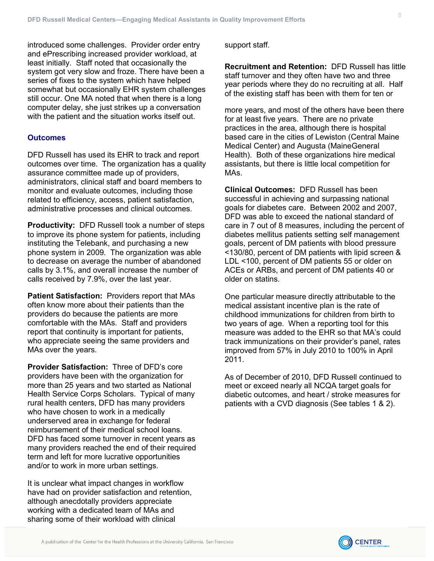introduced some challenges. Provider order entry and ePrescribing increased provider workload, at least initially. Staff noted that occasionally the system got very slow and froze. There have been a series of fixes to the system which have helped somewhat but occasionally EHR system challenges still occur. One MA noted that when there is a long computer delay, she just strikes up a conversation with the patient and the situation works itself out.

## **Outcomes**

DFD Russell has used its EHR to track and report outcomes over time. The organization has a quality assurance committee made up of providers. administrators, clinical staff and board members to monitor and evaluate outcomes, including those related to efficiency, access, patient satisfaction, administrative processes and clinical outcomes.

**Productivity:** DFD Russell took a number of steps to improve its phone system for patients, including instituting the Telebank, and purchasing a new phone system in 2009. The organization was able to decrease on average the number of abandoned calls by 3.1%, and overall increase the number of calls received by 7.9%, over the last year.

Patient Satisfaction: Providers report that MAs often know more about their patients than the providers do because the patients are more comfortable with the MAs. Staff and providers report that continuity is important for patients, who appreciate seeing the same providers and MAs over the years.

Provider Satisfaction: Three of DFD's core providers have been with the organization for more than 25 years and two started as National Health Service Corps Scholars. Typical of many rural health centers, DFD has many providers who have chosen to work in a medically underserved area in exchange for federal reimbursement of their medical school loans. DFD has faced some turnover in recent years as many providers reached the end of their required term and left for more lucrative opportunities and/or to work in more urban settings.

It is unclear what impact changes in workflow have had on provider satisfaction and retention, although anecdotally providers appreciate working with a dedicated team of MAs and sharing some of their workload with clinical

support staff.

**Recruitment and Retention: DFD Russell has little** staff turnover and they often have two and three year periods where they do no recruiting at all. Half of the existing staff has been with them for ten or

more years, and most of the others have been there for at least five years. There are no private practices in the area, although there is hospital based care in the cities of Lewiston (Central Maine Medical Center) and Augusta (MaineGeneral Health). Both of these organizations hire medical assistants, but there is little local competition for MA<sub>S</sub>.

**Clinical Outcomes: DFD Russell has been** successful in achieving and surpassing national goals for diabetes care. Between 2002 and 2007, DFD was able to exceed the national standard of care in 7 out of 8 measures, including the percent of diabetes mellitus patients setting self management goals, percent of DM patients with blood pressure <130/80, percent of DM patients with lipid screen & LDL <100, percent of DM patients 55 or older on ACEs or ARBs, and percent of DM patients 40 or older on statins.

One particular measure directly attributable to the medical assistant incentive plan is the rate of childhood immunizations for children from birth to two years of age. When a reporting tool for this measure was added to the EHR so that MA's could track immunizations on their provider's panel, rates improved from 57% in July 2010 to 100% in April  $2011.$ 

As of December of 2010, DFD Russell continued to meet or exceed nearly all NCQA target goals for diabetic outcomes, and heart / stroke measures for patients with a CVD diagnosis (See tables 1 & 2).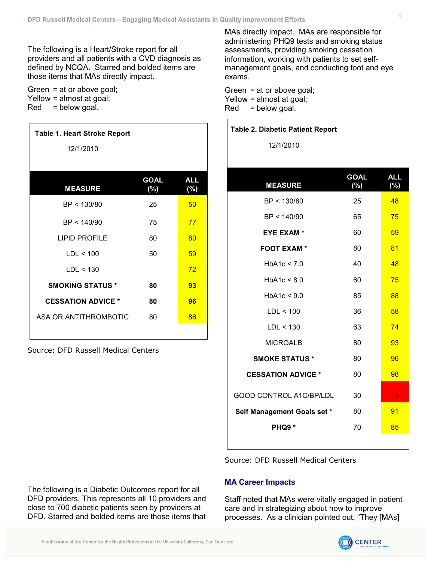The following is a Heart/Stroke report for all providers and all patients with a CVD diagnosis as defined by NCQA. Starred and bolded items are those items that MAs directly impact.

Green  $=$  at or above goal; Yellow = almost at goal; = below goal. Red

| <b>Table 1. Heart Stroke Report</b> |                    |                   |
|-------------------------------------|--------------------|-------------------|
| 12/1/2010                           |                    |                   |
|                                     |                    |                   |
| <b>MEASURE</b>                      | <b>GOAL</b><br>(%) | <b>ALL</b><br>(%) |
| BP < 130/80                         | 25                 | 50                |
| BP < 140/90                         | 75                 | 77                |
| <b>LIPID PROFILE</b>                | 80                 | 80                |
| LDL < 100                           | 50                 | 59                |
| LDL < 130                           |                    | 72                |
| <b>SMOKING STATUS *</b>             | 80                 | 93                |
| <b>CESSATION ADVICE *</b>           | 80                 | 96                |
| ASA OR ANTITHROMBOTIC               | 80                 | 86                |
|                                     |                    |                   |

Source: DFD Russell Medical Centers

MAs directly impact. MAs are responsible for administering PHQ9 tests and smoking status assessments, providing smoking cessation information, working with patients to set selfmanagement goals, and conducting foot and eye exams.

Green  $=$  at or above goal; Yellow = almost at goal;  $Red = below goal.$ 

| <b>Table 2. Diabetic Patient Report</b> |                    |                      |
|-----------------------------------------|--------------------|----------------------|
| 12/1/2010                               |                    |                      |
|                                         |                    |                      |
| <b>MEASURE</b>                          | <b>GOAL</b><br>(%) | <b>ALL</b><br>$(\%)$ |
| BP < 130/80                             | 25                 | 48                   |
| BP < 140/90                             | 65                 | 75                   |
| <b>EYE EXAM*</b>                        | 60                 | 59                   |
| <b>FOOT EXAM*</b>                       | 80                 | 81                   |
| HbA1c < 7.0                             | 40                 | 48                   |
| HbA1c < 8.0                             | 60                 | 75                   |
| HbA1c < 9.0                             | 85                 | 88                   |
| LDL < 100                               | 36                 | 58                   |
| LDL < 130                               | 63                 | 74                   |
| <b>MICROALB</b>                         | 80                 | 93                   |
| <b>SMOKE STATUS *</b>                   | 80                 | 96                   |
| <b>CESSATION ADVICE *</b>               | 80                 | 98                   |
| GOOD CONTROL A1C/BP/LDL                 | 30                 | 16                   |
| Self Management Goals set *             | 80                 | 91                   |
| PHQ9 *                                  | 70                 | 85                   |
|                                         |                    |                      |

Source: DFD Russell Medical Centers

## **MA Career Impacts**

Staff noted that MAs were vitally engaged in patient care and in strategizing about how to improve processes. As a clinician pointed out, "They [MAs]

The following is a Diabetic Outcomes report for all DFD providers. This represents all 10 providers and

close to 700 diabetic patients seen by providers at

DED, Starred and bolded items are those items that

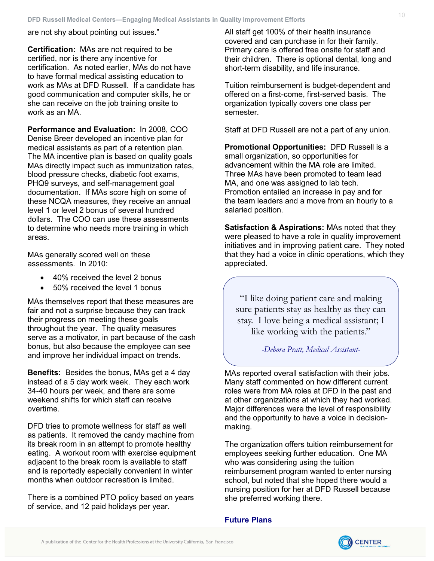are not shy about pointing out issues."

Certification: MAs are not required to be certified, nor is there any incentive for certification. As noted earlier. MAs do not have to have formal medical assisting education to work as MAs at DFD Russell. If a candidate has good communication and computer skills, he or she can receive on the job training onsite to work as an MA.

Performance and Evaluation: In 2008, COO Denise Breer developed an incentive plan for medical assistants as part of a retention plan. The MA incentive plan is based on quality goals MAs directly impact such as immunization rates, blood pressure checks, diabetic foot exams, PHQ9 surveys, and self-management goal documentation. If MAs score high on some of these NCQA measures, they receive an annual level 1 or level 2 bonus of several hundred dollars. The COO can use these assessments to determine who needs more training in which areas.

MAs generally scored well on these assessments. In 2010:

- 40% received the level 2 bonus
- 50% received the level 1 bonus

MAs themselves report that these measures are fair and not a surprise because they can track their progress on meeting these goals throughout the year. The quality measures serve as a motivator, in part because of the cash bonus, but also because the employee can see and improve her individual impact on trends.

**Benefits:** Besides the bonus, MAs get a 4 day instead of a 5 day work week. They each work 34-40 hours per week, and there are some weekend shifts for which staff can receive overtime.

DFD tries to promote wellness for staff as well as patients. It removed the candy machine from its break room in an attempt to promote healthy eating. A workout room with exercise equipment adjacent to the break room is available to staff and is reportedly especially convenient in winter months when outdoor recreation is limited.

There is a combined PTO policy based on years of service, and 12 paid holidays per year.

All staff get 100% of their health insurance covered and can purchase in for their family. Primary care is offered free onsite for staff and their children. There is optional dental, long and short-term disability, and life insurance.

Tuition reimbursement is budget-dependent and offered on a first-come, first-served basis. The organization typically covers one class per semester.

Staff at DFD Russell are not a part of any union.

**Promotional Opportunities: DFD Russell is a** small organization, so opportunities for advancement within the MA role are limited. Three MAs have been promoted to team lead MA, and one was assigned to lab tech. Promotion entailed an increase in pay and for the team leaders and a move from an hourly to a salaried position.

**Satisfaction & Aspirations: MAs noted that they** were pleased to have a role in quality improvement initiatives and in improving patient care. They noted that they had a voice in clinic operations, which they appreciated.

"I like doing patient care and making sure patients stay as healthy as they can stay. I love being a medical assistant; I like working with the patients."

-Debora Pratt, Medical Assistant-

MAs reported overall satisfaction with their jobs. Many staff commented on how different current roles were from MA roles at DFD in the past and at other organizations at which they had worked. Major differences were the level of responsibility and the opportunity to have a voice in decisionmaking.

The organization offers tuition reimbursement for employees seeking further education. One MA who was considering using the tuition reimbursement program wanted to enter nursing school, but noted that she hoped there would a nursing position for her at DFD Russell because she preferred working there.

## **Future Plans**

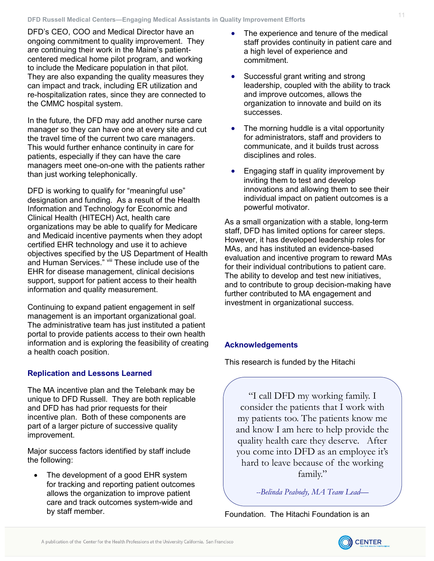DFD's CEO, COO and Medical Director have an ongoing commitment to quality improvement. They are continuing their work in the Maine's patientcentered medical home pilot program, and working to include the Medicare population in that pilot. They are also expanding the quality measures they can impact and track, including ER utilization and re-hospitalization rates, since they are connected to the CMMC hospital system.

In the future, the DFD may add another nurse care manager so they can have one at every site and cut the travel time of the current two care managers. This would further enhance continuity in care for patients, especially if they can have the care managers meet one-on-one with the patients rather than just working telephonically.

DFD is working to qualify for "meaningful use" designation and funding. As a result of the Health Information and Technology for Economic and Clinical Health (HITECH) Act, health care organizations may be able to qualify for Medicare and Medicaid incentive payments when they adopt certified EHR technology and use it to achieve objectives specified by the US Department of Health and Human Services." vill These include use of the EHR for disease management, clinical decisions support, support for patient access to their health information and quality measurement.

Continuing to expand patient engagement in self management is an important organizational goal. The administrative team has just instituted a patient portal to provide patients access to their own health information and is exploring the feasibility of creating a health coach position.

# **Replication and Lessons Learned**

The MA incentive plan and the Telebank may be unique to DFD Russell. They are both replicable and DFD has had prior requests for their incentive plan. Both of these components are part of a larger picture of successive quality improvement.

Major success factors identified by staff include the following:

The development of a good EHR system for tracking and reporting patient outcomes allows the organization to improve patient care and track outcomes system-wide and by staff member.

- The experience and tenure of the medical staff provides continuity in patient care and a high level of experience and commitment.
- Successful grant writing and strong leadership, coupled with the ability to track and improve outcomes, allows the organization to innovate and build on its successes.
- The morning huddle is a vital opportunity for administrators, staff and providers to communicate, and it builds trust across disciplines and roles.
- Engaging staff in quality improvement by inviting them to test and develop innovations and allowing them to see their individual impact on patient outcomes is a powerful motivator.

As a small organization with a stable, long-term staff, DFD has limited options for career steps. However, it has developed leadership roles for MAs, and has instituted an evidence-based evaluation and incentive program to reward MAs for their individual contributions to patient care. The ability to develop and test new initiatives, and to contribute to group decision-making have further contributed to MA engagement and investment in organizational success.

## **Acknowledgements**

This research is funded by the Hitachi

"I call DFD my working family. I consider the patients that I work with my patients too. The patients know me and know I am here to help provide the quality health care they deserve. After you come into DFD as an employee it's hard to leave because of the working family."

--Belinda Peabody, MA Team Lead-

Foundation. The Hitachi Foundation is an